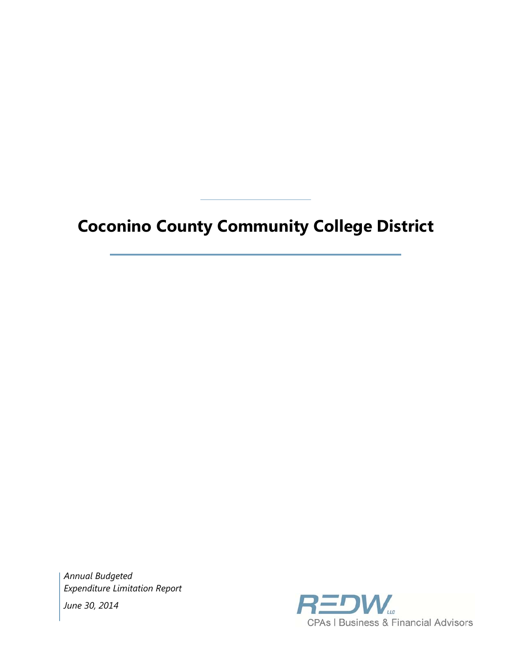# **Coconino County Community College District**

*Annual Budgeted Expenditure Limitation Report June 30, 2014* 

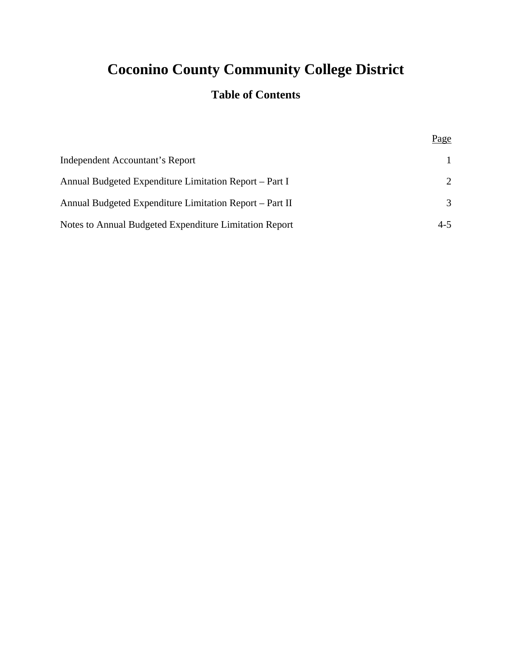## **Coconino County Community College District**

### **Table of Contents**

Page

| Independent Accountant's Report                         |                       |
|---------------------------------------------------------|-----------------------|
| Annual Budgeted Expenditure Limitation Report – Part I  | $\mathcal{D}_{\cdot}$ |
| Annual Budgeted Expenditure Limitation Report – Part II | $\mathcal{R}$         |
| Notes to Annual Budgeted Expenditure Limitation Report  | $4 - 5$               |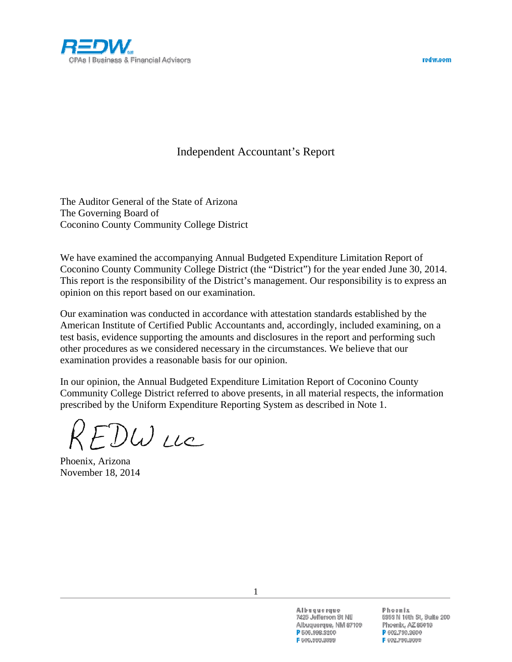



### Independent Accountant's Report

The Auditor General of the State of Arizona The Governing Board of Coconino County Community College District

We have examined the accompanying Annual Budgeted Expenditure Limitation Report of Coconino County Community College District (the "District") for the year ended June 30, 2014. This report is the responsibility of the District's management. Our responsibility is to express an opinion on this report based on our examination.

Our examination was conducted in accordance with attestation standards established by the American Institute of Certified Public Accountants and, accordingly, included examining, on a test basis, evidence supporting the amounts and disclosures in the report and performing such other procedures as we considered necessary in the circumstances. We believe that our examination provides a reasonable basis for our opinion.

In our opinion, the Annual Budgeted Expenditure Limitation Report of Coconino County Community College District referred to above presents, in all material respects, the information prescribed by the Uniform Expenditure Reporting System as described in Note 1.

 $E$ UU LLC

Phoenix, Arizona November 18, 2014

Albuquerque 7425 Jefferson St NE Albuquerque, NM 87109 P 505,998,3200 F 505,998,3399

Phoenix 5353 N 16th St, Suite 200 Phoenix, AZ 85016 P 602,730,3600 F 602.790.3099

1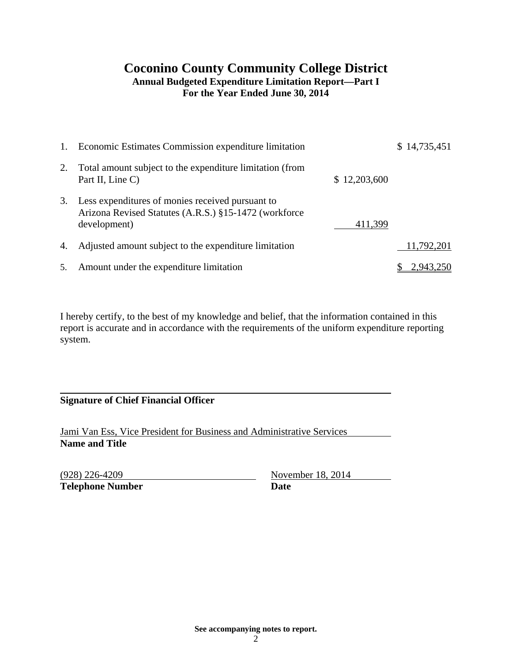#### **Coconino County Community College District Annual Budgeted Expenditure Limitation Report—Part I For the Year Ended June 30, 2014**

| 1. | Economic Estimates Commission expenditure limitation                                                                      |              | \$14,735,451 |
|----|---------------------------------------------------------------------------------------------------------------------------|--------------|--------------|
| 2. | Total amount subject to the expenditure limitation (from<br>Part II, Line C)                                              | \$12,203,600 |              |
| 3. | Less expenditures of monies received pursuant to<br>Arizona Revised Statutes (A.R.S.) §15-1472 (workforce<br>development) | 411,399      |              |
| 4. | Adjusted amount subject to the expenditure limitation                                                                     |              | 11,792,201   |
| 5. | Amount under the expenditure limitation                                                                                   |              | 2,943,250    |

I hereby certify, to the best of my knowledge and belief, that the information contained in this report is accurate and in accordance with the requirements of the uniform expenditure reporting system.

**Signature of Chief Financial Officer** 

Jami Van Ess, Vice President for Business and Administrative Services **Name and Title** 

**Telephone Number Date** 

(928) 226-4209 November 18, 2014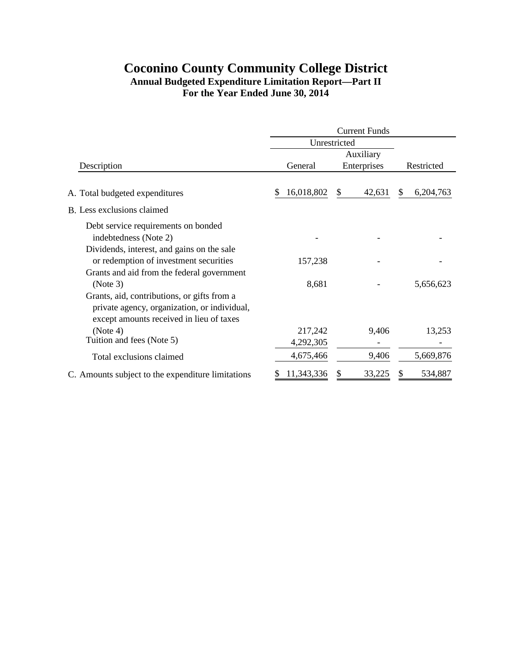#### **Coconino County Community College District Annual Budgeted Expenditure Limitation Report—Part II For the Year Ended June 30, 2014**

|                                                   | <b>Current Funds</b> |              |                |  |  |  |
|---------------------------------------------------|----------------------|--------------|----------------|--|--|--|
|                                                   | Unrestricted         |              |                |  |  |  |
|                                                   |                      | Auxiliary    |                |  |  |  |
| Description                                       | General              | Enterprises  | Restricted     |  |  |  |
|                                                   |                      |              |                |  |  |  |
| A. Total budgeted expenditures                    | 16,018,802<br>S.     | 42,631<br>\$ | 6,204,763<br>S |  |  |  |
| B. Less exclusions claimed                        |                      |              |                |  |  |  |
| Debt service requirements on bonded               |                      |              |                |  |  |  |
| indebtedness (Note 2)                             |                      |              |                |  |  |  |
| Dividends, interest, and gains on the sale        |                      |              |                |  |  |  |
| or redemption of investment securities            | 157,238              |              |                |  |  |  |
| Grants and aid from the federal government        |                      |              |                |  |  |  |
| (Note 3)                                          | 8,681                |              | 5,656,623      |  |  |  |
| Grants, aid, contributions, or gifts from a       |                      |              |                |  |  |  |
| private agency, organization, or individual,      |                      |              |                |  |  |  |
| except amounts received in lieu of taxes          |                      |              |                |  |  |  |
| (Note 4)                                          | 217,242              | 9,406        | 13,253         |  |  |  |
| Tuition and fees (Note 5)                         | 4,292,305            |              |                |  |  |  |
| Total exclusions claimed                          | 4,675,466            | 9,406        | 5,669,876      |  |  |  |
| C. Amounts subject to the expenditure limitations | 11,343,336           | 33,225       | 534,887<br>S   |  |  |  |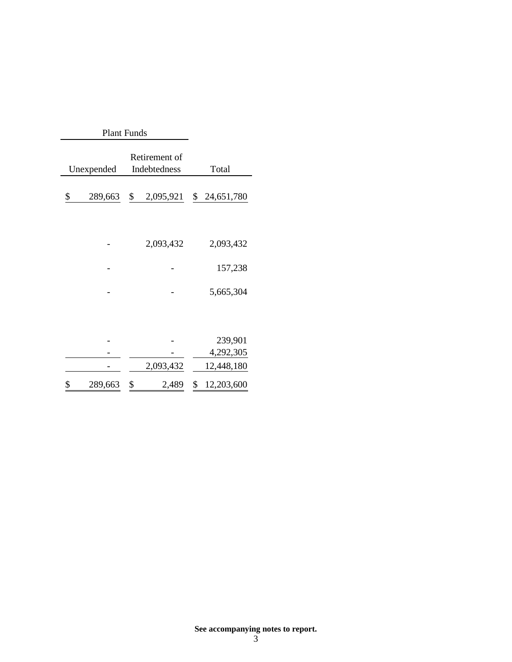|               | <b>Plant Funds</b> |           |                               |                  |  |  |
|---------------|--------------------|-----------|-------------------------------|------------------|--|--|
|               | Unexpended         |           | Retirement of<br>Indebtedness | Total            |  |  |
| \$<br>289,663 |                    | \$        | 2,095,921                     | 24,651,780<br>\$ |  |  |
|               |                    |           |                               |                  |  |  |
|               |                    |           | 2,093,432                     | 2,093,432        |  |  |
|               |                    |           |                               | 157,238          |  |  |
|               |                    |           |                               | 5,665,304        |  |  |
|               |                    |           |                               |                  |  |  |
|               |                    |           |                               | 239,901          |  |  |
|               |                    |           |                               | 4,292,305        |  |  |
|               |                    | 2,093,432 |                               | 12,448,180       |  |  |
| \$            | 289,663            | \$        | 2,489                         | \$<br>12,203,600 |  |  |

**See accompanying notes to report.**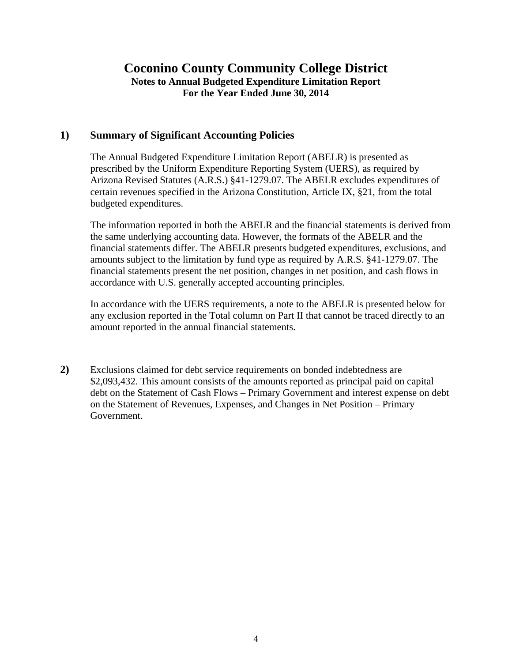#### **Coconino County Community College District Notes to Annual Budgeted Expenditure Limitation Report For the Year Ended June 30, 2014**

#### **1) Summary of Significant Accounting Policies**

The Annual Budgeted Expenditure Limitation Report (ABELR) is presented as prescribed by the Uniform Expenditure Reporting System (UERS), as required by Arizona Revised Statutes (A.R.S.) §41-1279.07. The ABELR excludes expenditures of certain revenues specified in the Arizona Constitution, Article IX, §21, from the total budgeted expenditures.

The information reported in both the ABELR and the financial statements is derived from the same underlying accounting data. However, the formats of the ABELR and the financial statements differ. The ABELR presents budgeted expenditures, exclusions, and amounts subject to the limitation by fund type as required by A.R.S. §41-1279.07. The financial statements present the net position, changes in net position, and cash flows in accordance with U.S. generally accepted accounting principles.

In accordance with the UERS requirements, a note to the ABELR is presented below for any exclusion reported in the Total column on Part II that cannot be traced directly to an amount reported in the annual financial statements.

**2)** Exclusions claimed for debt service requirements on bonded indebtedness are \$2,093,432. This amount consists of the amounts reported as principal paid on capital debt on the Statement of Cash Flows – Primary Government and interest expense on debt on the Statement of Revenues, Expenses, and Changes in Net Position – Primary Government.